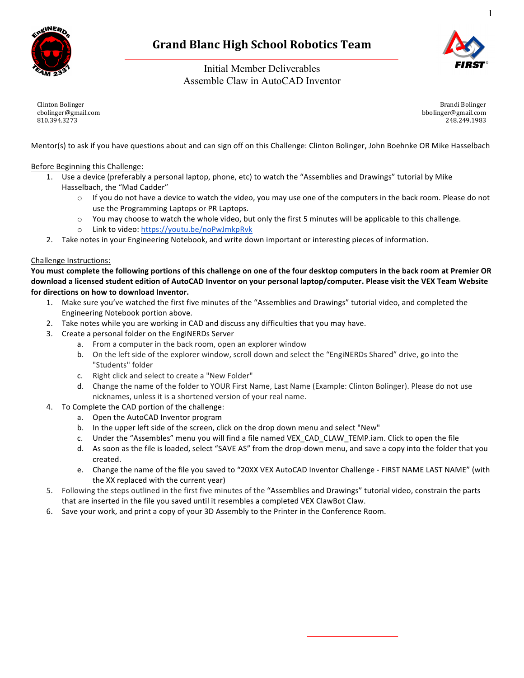

## **Grand Blanc High School Robotics Team**

Initial Member Deliverables Assemble Claw in AutoCAD Inventor



Clinton Bolinger cbolinger@gmail.com 810.394.3273

Brandi Bolinger bbolinger@gmail.com 248.249.1983

Mentor(s) to ask if you have questions about and can sign off on this Challenge: Clinton Bolinger, John Boehnke OR Mike Hasselbach

Before Beginning this Challenge:

- 1. Use a device (preferably a personal laptop, phone, etc) to watch the "Assemblies and Drawings" tutorial by Mike Hasselbach, the "Mad Cadder"
	- $\circ$  If you do not have a device to watch the video, you may use one of the computers in the back room. Please do not use the Programming Laptops or PR Laptops.
	- $\circ$  You may choose to watch the whole video, but only the first 5 minutes will be applicable to this challenge. o Link to video: https://youtu.be/noPwJmkpRvk
- 2. Take notes in your Engineering Notebook, and write down important or interesting pieces of information.

#### Challenge Instructions:

You must complete the following portions of this challenge on one of the four desktop computers in the back room at Premier OR download a licensed student edition of AutoCAD Inventor on your personal laptop/computer. Please visit the VEX Team Website **for directions on how to download Inventor.** 

- 1. Make sure you've watched the first five minutes of the "Assemblies and Drawings" tutorial video, and completed the Engineering Notebook portion above.
- 2. Take notes while you are working in CAD and discuss any difficulties that you may have.
- 3. Create a personal folder on the EngiNERDs Server
	- a. From a computer in the back room, open an explorer window
	- b. On the left side of the explorer window, scroll down and select the "EngiNERDs Shared" drive, go into the "Students" folder
	- c. Right click and select to create a "New Folder"
	- d. Change the name of the folder to YOUR First Name, Last Name (Example: Clinton Bolinger). Please do not use nicknames, unless it is a shortened version of your real name.
- 4. To Complete the CAD portion of the challenge:
	- a. Open the AutoCAD Inventor program
	- b. In the upper left side of the screen, click on the drop down menu and select "New"
	- c. Under the "Assembles" menu you will find a file named VEX\_CAD\_CLAW\_TEMP.iam. Click to open the file
	- d. As soon as the file is loaded, select "SAVE AS" from the drop-down menu, and save a copy into the folder that you created.
	- e. Change the name of the file you saved to "20XX VEX AutoCAD Inventor Challenge FIRST NAME LAST NAME" (with the XX replaced with the current year)
- 5. Following the steps outlined in the first five minutes of the "Assemblies and Drawings" tutorial video, constrain the parts that are inserted in the file you saved until it resembles a completed VEX ClawBot Claw.
- 6. Save your work, and print a copy of your 3D Assembly to the Printer in the Conference Room.